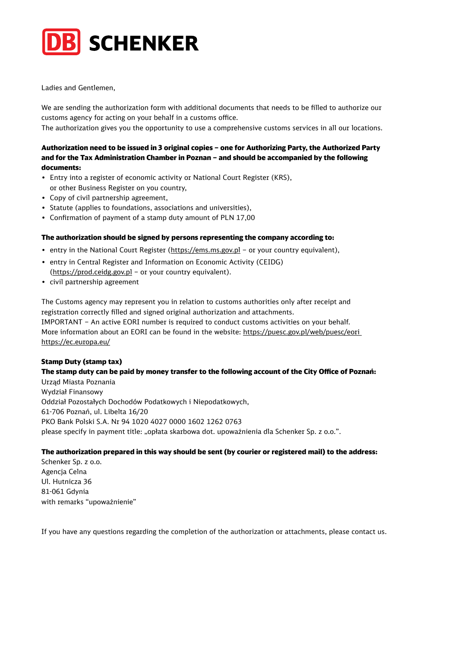

Ladies and Gentlemen,

We are sending the authorization form with additional documents that needs to be filled to authorize our customs agency for acting on your behalf in a customs office.

The authorization gives you the opportunity to use a comprehensive customs services in all our locations.

### Authorization need to be issued in 3 original copies – one for Authorizing Party, the Authorized Party and for the Tax Administration Chamber in Poznan – and should be accompanied by the following documents:

- Entry into a register of economic activity or National Court Register (KRS), or other Business Register on you country,
- Copy of civil partnership agreement,
- Statute (applies to foundations, associations and universities),
- Confirmation of payment of a stamp duty amount of PLN 17,00

### The authorization should be signed by persons representing the company according to:

- entry in the National Court Register ([https://ems.ms.gov.pl](https://ems.ms.gov.pl/) or your country equivalent),
- entry in Central Register and Information on Economic Activity (CEIDG) (<https://prod.ceidg.gov.pl>– or your country equivalent).
- civil partnership agreement

The Customs agency may represent you in relation to customs authorities only after receipt and registration correctly filled and signed original authorization and attachments. IMPORTANT – An active EORI number is required to conduct customs activities on your behalf. More information about an EORI can be found in the website: [https://puesc.gov.pl/web/puesc/eori](https://puesc.gov.pl/web/puesc/eori )  <https://ec.europa.eu/>

### Stamp Duty (stamp tax)

## The stamp duty can be paid by money transfer to the following account of the City Office of Poznań:

Urząd Miasta Poznania Wydział Finansowy Oddział Pozostałych Dochodów Podatkowych i Niepodatkowych, 61-706 Poznań, ul. Libelta 16/20 PKO Bank Polski S.A. Nr 94 1020 4027 0000 1602 1262 0763 please specify in payment title: "opłata skarbowa dot. upoważnienia dla Schenker Sp. z o.o.".

### The authorization prepared in this way should be sent (by courier or registered mail) to the address:

Schenker Sp. z o.o. Agencja Celna Ul. Hutnicza 36 81-061 Gdynia with remarks "upoważnienie"

If you have any questions regarding the completion of the authorization or attachments, please contact us.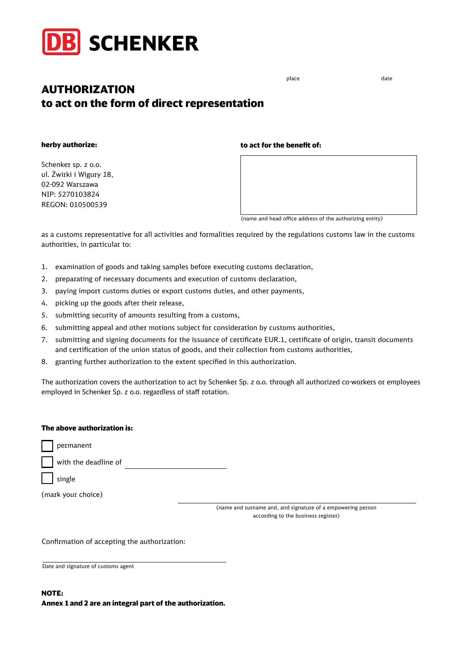

# AUTHORIZATION to act on the form of direct representation

herby authorize:

Schenker sp. z o.o. ul. Żwirki i Wigury 18, 02-092 Warszawa NIP: 5270103824 REGON: 010500539

#### to act for the benefit of:



(name and head office address of the authorizing entity)

as a customs representative for all activities and formalities required by the regulations customs law in the customs authorities, in particular to:

- 1. examination of goods and taking samples before executing customs declaration,
- 2. preparating of necessary documents and execution of customs declaration,
- 3. paying import customs duties or export customs duties, and other payments,
- 4. picking up the goods after their release,
- 5. submitting security of amounts resulting from a customs,
- 6. submitting appeal and other motions subject for consideration by customs authorities,
- 7. submitting and signing documents for the issuance of certificate EUR.1, certificate of origin, transit documents and certification of the union status of goods, and their collection from customs authorities,
- 8. granting further authorization to the extent specified in this authorization.

The authorization covers the authorization to act by Schenker Sp. z o.o. through all authorized co-workers or employees employed in Schenker Sp. z o.o. regardless of staff rotation.

#### The above authorization is:

permanent

with the deadline of

single

(mark your choice)

(name and surname and, and signature of a empowering person according to the business register)

Confirmation of accepting the authorization:

Date and signature of customs agent

place date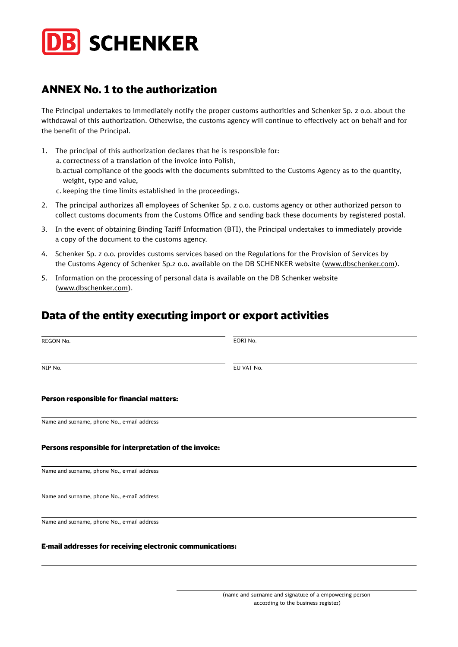

# ANNEX No. 1 to the authorization

The Principal undertakes to immediately notify the proper customs authorities and Schenker Sp. z o.o. about the withdrawal of this authorization. Otherwise, the customs agency will continue to effectively act on behalf and for the benefit of the Principal.

1. The principal of this authorization declares that he is responsible for:

a. correctness of a translation of the invoice into Polish,

- b.actual compliance of the goods with the documents submitted to the Customs Agency as to the quantity, weight, type and value,
- c. keeping the time limits established in the proceedings.
- 2. The principal authorizes all employees of Schenker Sp. z o.o. customs agency or other authorized person to collect customs documents from the Customs Office and sending back these documents by registered postal.
- 3. In the event of obtaining Binding Tariff Information (BTI), the Principal undertakes to immediately provide a copy of the document to the customs agency.
- 4. Schenker Sp. z o.o. provides customs services based on the Regulations for the Provision of Services by the Customs Agency of Schenker Sp.z o.o. available on the DB SCHENKER website [\(www.dbschenker.com\)](https://www.dbschenker.com).
- 5. Information on the processing of personal data is available on the DB Schenker website ([www.dbschenker.com](http://www.dbschenker.com)).

# Data of the entity executing import or export activities

| REGON No.                                                        | EORI No.   |
|------------------------------------------------------------------|------------|
| NIP No.                                                          | EU VAT No. |
| Person responsible for financial matters:                        |            |
| Name and surname, phone No., e-mail address                      |            |
| Persons responsible for interpretation of the invoice:           |            |
| Name and surname, phone No., e-mail address                      |            |
| Name and surname, phone No., e-mail address                      |            |
| Name and surname, phone No., e-mail address                      |            |
| <b>E-mail addresses for receiving electronic communications:</b> |            |